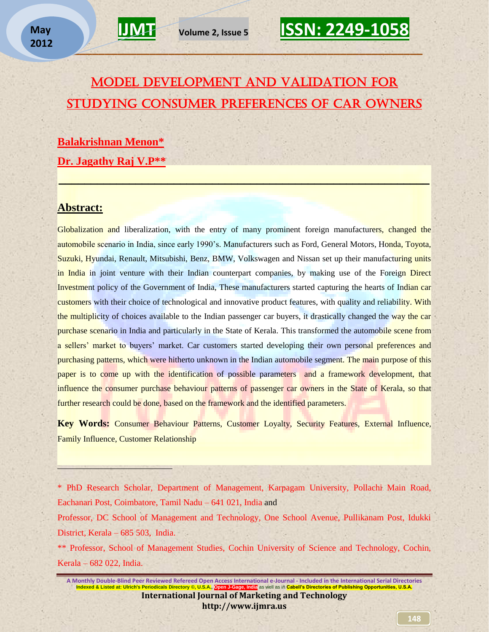### Model Development and Validation for Studying Consumer Preferences of Car Owners

 $\mathbb{P}_{\mathcal{A}}$  , and the contribution of  $\mathcal{A}$  , and the contribution of  $\mathcal{A}$ 

**\_\_\_\_\_\_\_\_\_\_\_\_\_\_\_\_\_\_\_\_\_\_\_\_\_\_\_\_\_\_\_\_\_\_\_\_\_\_\_\_\_\_\_\_\_\_\_\_\_\_\_\_\_\_\_\_\_\_** 

**Balakrishnan Menon\* Dr. Jagathy Raj V.P\*\***

### **Abstract:**

 $\overline{a}$ 

Globalization and liberalization, with the entry of many prominent foreign manufacturers, changed the automobile scenario in India, since early 1990's. Manufacturers such as Ford, General Motors, Honda, Toyota, Suzuki, Hyundai, Renault, Mitsubishi, Benz, BMW, Volkswagen and Nissan set up their manufacturing units in India in joint venture with their Indian counterpart companies, by making use of the Foreign Direct Investment policy of the Government of India, These manufacturers started capturing the hearts of Indian car customers with their choice of technological and innovative product features, with quality and reliability. With the multiplicity of choices available to the Indian passenger car buyers, it drastically changed the way the car purchase scenario in India and particularly in the State of Kerala. This transformed the automobile scene from a sellers' market to buyers' market. Car customers started developing their own personal preferences and purchasing patterns, which were hitherto unknown in the Indian automobile segment. The main purpose of this paper is to come up with the identification of possible parameters and a framework development, that influence the consumer purchase behaviour patterns of passenger car owners in the State of Kerala, so that further research could be done, based on the framework and the identified parameters.

**Key Words:** Consumer Behaviour Patterns, Customer Loyalty, Security Features, External Influence, Family Influence, Customer Relationship

\* PhD Research Scholar, Department of Management, Karpagam University, Pollachi Main Road, Eachanari Post, Coimbatore, Tamil Nadu – 641 021, India and

Professor, DC School of Management and Technology, One School Avenue, Pullikanam Post, Idukki District, Kerala – 685 503, India.

\*\* Professor, School of Management Studies, Cochin University of Science and Technology, Cochin, Kerala – 682 022, India.

**A Monthly Double-Blind Peer Reviewed Refereed Open Access International e-Journal - Included in the International Serial Directories<br>Indexed & Listed at: Ulrich's Periodicals Directory © U.S.A. Open LGage, India as well a I. Open J-Gage, India as well as in Cabell's Directories of Publishing Opportunities, U.S.A. International Journal of Marketing and Technology http://www.ijmra.us**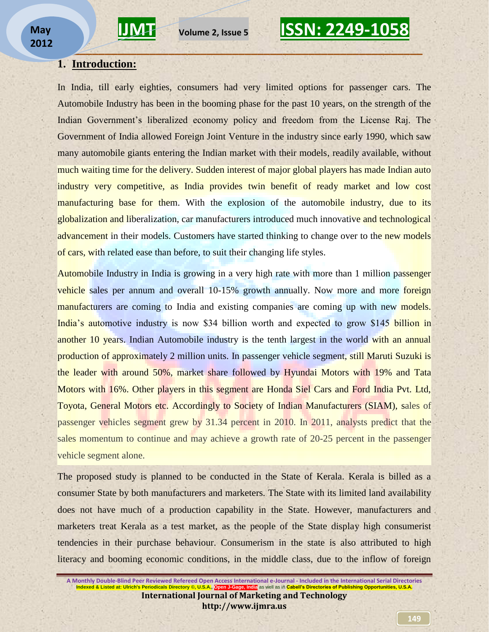### **1. Introduction:**

In India, till early eighties, consumers had very limited options for passenger cars. The Automobile Industry has been in the booming phase for the past 10 years, on the strength of the Indian Government's liberalized economy policy and freedom from the License Raj. The Government of India allowed Foreign Joint Venture in the industry since early 1990, which saw many automobile giants entering the Indian market with their models, readily available, without much waiting time for the delivery. Sudden interest of major global players has made Indian auto industry very competitive, as India provides twin benefit of ready market and low cost manufacturing base for them. With the explosion of the automobile industry, due to its globalization and liberalization, car manufacturers introduced much innovative and technological advancement in their models. Customers have started thinking to change over to the new models of cars, with related ease than before, to suit their changing life styles.

**\_\_\_\_\_\_\_\_\_\_\_\_\_\_\_\_\_\_\_\_\_\_\_\_\_\_\_\_\_\_\_\_\_\_\_\_\_\_\_\_\_\_\_\_\_\_\_\_\_\_\_\_\_\_\_\_\_\_** 

Automobile Industry in India is growing in a very high rate with more than 1 million passenger vehicle sales per annum and overall 10-15% growth annually. Now more and more foreign manufacturers are coming to India and existing companies are coming up with new models. India's automotive industry is now \$34 billion worth and expected to grow \$145 billion in another 10 years. Indian Automobile industry is the tenth largest in the world with an annual production of approximately 2 million units. In passenger vehicle segment, still Maruti Suzuki is the leader with around 50%, market share followed by Hyundai Motors with 19% and Tata Motors with 16%. Other players in this segment are Honda Siel Cars and Ford India Pvt. Ltd, Toyota, General Motors etc. Accordingly to Society of Indian Manufacturers (SIAM), sales of passenger vehicles segment grew by 31.34 percent in 2010. In 2011, analysts predict that the sales momentum to continue and may achieve a growth rate of 20-25 percent in the passenger vehicle segment alone.

The proposed study is planned to be conducted in the State of Kerala. Kerala is billed as a consumer State by both manufacturers and marketers. The State with its limited land availability does not have much of a production capability in the State. However, manufacturers and marketers treat Kerala as a test market, as the people of the State display high consumerist tendencies in their purchase behaviour. Consumerism in the state is also attributed to high literacy and booming economic conditions, in the middle class, due to the inflow of foreign

**A Monthly Double-Blind Peer Reviewed Refereed Open Access International e-Journal - Included in the International Serial Directories Indexed & Listed at: Ulrich's Periodicals Directory ©, U.S.A. International Journal of Marketing and Technology http://www.ijmra.us**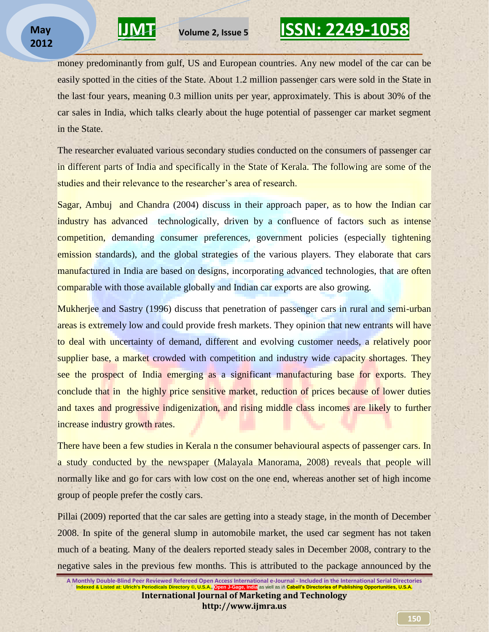money predominantly from gulf, US and European countries. Any new model of the car can be easily spotted in the cities of the State. About 1.2 million passenger cars were sold in the State in the last four years, meaning 0.3 million units per year, approximately. This is about 30% of the car sales in India, which talks clearly about the huge potential of passenger car market segment in the State.

**\_\_\_\_\_\_\_\_\_\_\_\_\_\_\_\_\_\_\_\_\_\_\_\_\_\_\_\_\_\_\_\_\_\_\_\_\_\_\_\_\_\_\_\_\_\_\_\_\_\_\_\_\_\_\_\_\_\_** 

The researcher evaluated various secondary studies conducted on the consumers of passenger car in different parts of India and specifically in the State of Kerala. The following are some of the studies and their relevance to the researcher"s area of research.

Sagar, Ambuj and Chandra (2004) discuss in their approach paper, as to how the Indian car industry has advanced technologically, driven by a confluence of factors such as intense competition, demanding consumer preferences, government policies (especially tightening emission standards), and the global strategies of the various players. They elaborate that cars manufactured in India are based on designs, incorporating advanced technologies, that are often comparable with those available globally and Indian car exports are also growing.

Mukherjee and Sastry (1996) discuss that penetration of passenger cars in rural and semi-urban areas is extremely low and could provide fresh markets. They opinion that new entrants will have to deal with uncertainty of demand, different and evolving customer needs, a relatively poor supplier base, a market crowded with competition and industry wide capacity shortages. They see the prospect of India emerging as a significant manufacturing base for exports. They conclude that in the highly price sensitive market, reduction of prices because of lower duties and taxes and progressive indigenization, and rising middle class incomes are likely to further increase industry growth rates.

There have been a few studies in Kerala n the consumer behavioural aspects of passenger cars. In a study conducted by the newspaper (Malayala Manorama, 2008) reveals that people will normally like and go for cars with low cost on the one end, whereas another set of high income group of people prefer the costly cars.

Pillai (2009) reported that the car sales are getting into a steady stage, in the month of December 2008. In spite of the general slump in automobile market, the used car segment has not taken much of a beating. Many of the dealers reported steady sales in December 2008, contrary to the negative sales in the previous few months. This is attributed to the package announced by the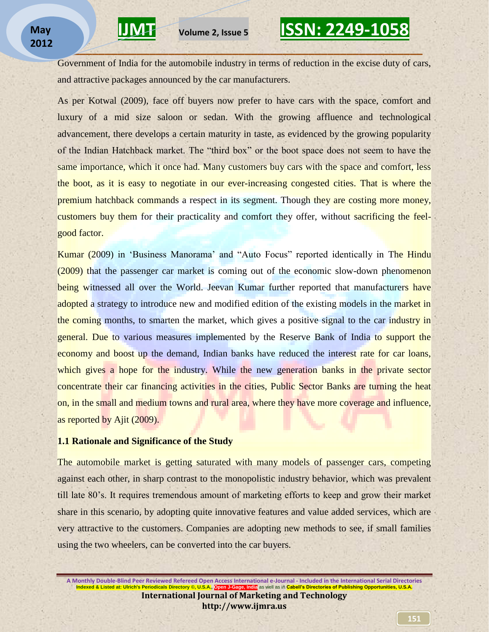Government of India for the automobile industry in terms of reduction in the excise duty of cars, and attractive packages announced by the car manufacturers.

**\_\_\_\_\_\_\_\_\_\_\_\_\_\_\_\_\_\_\_\_\_\_\_\_\_\_\_\_\_\_\_\_\_\_\_\_\_\_\_\_\_\_\_\_\_\_\_\_\_\_\_\_\_\_\_\_\_\_** 

As per Kotwal (2009), face off buyers now prefer to have cars with the space, comfort and luxury of a mid size saloon or sedan. With the growing affluence and technological advancement, there develops a certain maturity in taste, as evidenced by the growing popularity of the Indian Hatchback market. The "third box" or the boot space does not seem to have the same importance, which it once had. Many customers buy cars with the space and comfort, less the boot, as it is easy to negotiate in our ever-increasing congested cities. That is where the premium hatchback commands a respect in its segment. Though they are costing more money, customers buy them for their practicality and comfort they offer, without sacrificing the feelgood factor.

Kumar (2009) in 'Business Manorama' and "Auto Focus" reported identically in The Hindu (2009) that the passenger car market is coming out of the economic slow-down phenomenon being witnessed all over the World. Jeevan Kumar further reported that manufacturers have adopted a strategy to introduce new and modified edition of the existing models in the market in the coming months, to smarten the market, which gives a positive signal to the car industry in general. Due to various measures implemented by the Reserve Bank of India to support the economy and boost up the demand, Indian banks have reduced the interest rate for car loans, which gives a hope for the industry. While the new generation banks in the private sector concentrate their car financing activities in the cities, Public Sector Banks are turning the heat on, in the small and medium towns and rural area, where they have more coverage and influence, as reported by Ajit (2009).

#### **1.1 Rationale and Significance of the Study**

The automobile market is getting saturated with many models of passenger cars, competing against each other, in sharp contrast to the monopolistic industry behavior, which was prevalent till late 80"s. It requires tremendous amount of marketing efforts to keep and grow their market share in this scenario, by adopting quite innovative features and value added services, which are very attractive to the customers. Companies are adopting new methods to see, if small families using the two wheelers, can be converted into the car buyers.

**A Monthly Double-Blind Peer Reviewed Refereed Open Access International e-Journal - Included in the International Serial Directories Indexed & Listed at: Ulrich's Periodicals Directory ©, U.S.A., Open J-Gage, India** as well as in **Cabell's Directories of Publishing Opportunities, U.S.A. International Journal of Marketing and Technology http://www.ijmra.us**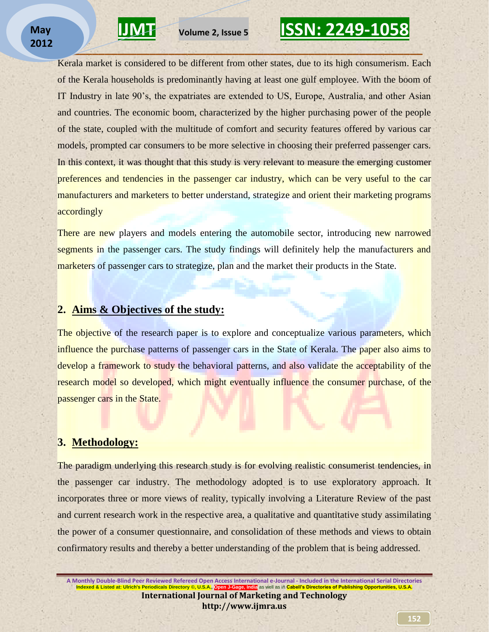

Kerala market is considered to be different from other states, due to its high consumerism. Each of the Kerala households is predominantly having at least one gulf employee. With the boom of IT Industry in late 90"s, the expatriates are extended to US, Europe, Australia, and other Asian and countries. The economic boom, characterized by the higher purchasing power of the people of the state, coupled with the multitude of comfort and security features offered by various car models, prompted car consumers to be more selective in choosing their preferred passenger cars. In this context, it was thought that this study is very relevant to measure the emerging customer preferences and tendencies in the passenger car industry, which can be very useful to the car manufacturers and marketers to better understand, strategize and orient their marketing programs accordingly

**\_\_\_\_\_\_\_\_\_\_\_\_\_\_\_\_\_\_\_\_\_\_\_\_\_\_\_\_\_\_\_\_\_\_\_\_\_\_\_\_\_\_\_\_\_\_\_\_\_\_\_\_\_\_\_\_\_\_** 

There are new players and models entering the automobile sector, introducing new narrowed segments in the passenger cars. The study findings will definitely help the manufacturers and marketers of passenger cars to strategize, plan and the market their products in the State.

### **2. Aims & Objectives of the study:**

The objective of the research paper is to explore and conceptualize various parameters, which influence the purchase patterns of passenger cars in the State of Kerala. The paper also aims to develop a framework to study the behavioral patterns, and also validate the acceptability of the research model so developed, which might eventually influence the consumer purchase, of the passenger cars in the State.

### **3. Methodology:**

The paradigm underlying this research study is for evolving realistic consumerist tendencies, in the passenger car industry. The methodology adopted is to use exploratory approach. It incorporates three or more views of reality, typically involving a Literature Review of the past and current research work in the respective area, a qualitative and quantitative study assimilating the power of a consumer questionnaire, and consolidation of these methods and views to obtain confirmatory results and thereby a better understanding of the problem that is being addressed.

**A Monthly Double-Blind Peer Reviewed Refereed Open Access International e-Journal - Included in the International Serial Directories Indexed & Listed at: Ulrich's Periodicals Directory ©, U.S.A., Open J-Gage, India** as well as in **Cabell's Directories of Publishing Opportunities, U.S.A. International Journal of Marketing and Technology http://www.ijmra.us**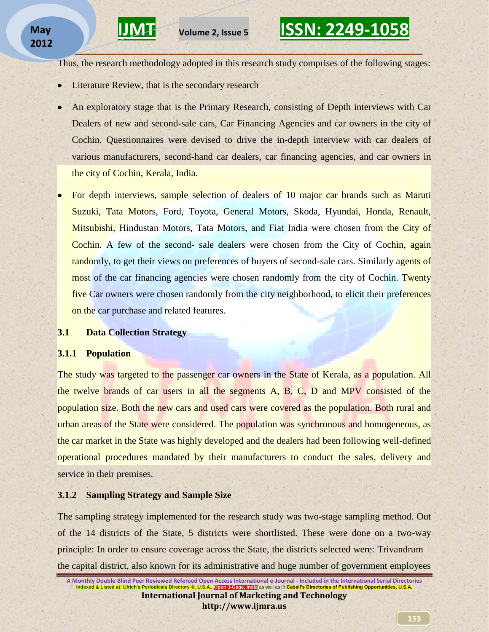Thus, the research methodology adopted in this research study comprises of the following stages:

**\_\_\_\_\_\_\_\_\_\_\_\_\_\_\_\_\_\_\_\_\_\_\_\_\_\_\_\_\_\_\_\_\_\_\_\_\_\_\_\_\_\_\_\_\_\_\_\_\_\_\_\_\_\_\_\_\_\_** 

- Literature Review, that is the secondary research
- An exploratory stage that is the Primary Research, consisting of Depth interviews with Car Dealers of new and second-sale cars, Car Financing Agencies and car owners in the city of Cochin. Questionnaires were devised to drive the in-depth interview with car dealers of various manufacturers, second-hand car dealers, car financing agencies, and car owners in the city of Cochin, Kerala, India.
- For depth interviews, sample selection of dealers of 10 major car brands such as Maruti Suzuki, Tata Motors, Ford, Toyota, General Motors, Skoda, Hyundai, Honda, Renault, Mitsubishi, Hindustan Motors, Tata Motors, and Fiat India were chosen from the City of Cochin. A few of the second- sale dealers were chosen from the City of Cochin, again randomly, to get their views on preferences of buyers of second-sale cars. Similarly agents of most of the car financing agencies were chosen randomly from the city of Cochin. Twenty five Car owners were chosen randomly from the city neighborhood, to elicit their preferences on the car purchase and related features.

### **3.1 Data Collection Strategy**

#### **3.1.1 Population**

The study was targeted to the passenger car owners in the State of Kerala, as a population. All the twelve brands of car users in all the segments A, B, C, D and MPV consisted of the population size. Both the new cars and used cars were covered as the population. Both rural and urban areas of the State were considered. The population was synchronous and homogeneous, as the car market in the State was highly developed and the dealers had been following well-defined operational procedures mandated by their manufacturers to conduct the sales, delivery and service in their premises.

#### **3.1.2 Sampling Strategy and Sample Size**

The sampling strategy implemented for the research study was two-stage sampling method. Out of the 14 districts of the State, 5 districts were shortlisted. These were done on a two-way principle: In order to ensure coverage across the State, the districts selected were: Trivandrum – the capital district, also known for its administrative and huge number of government employees

**A Monthly Double-Blind Peer Reviewed Refereed Open Access International e-Journal - Included in the International Serial Directories<br>Indexed & Listed at: Ulrich's Periodicals Directory ©. U.S.A. Open Leage, Inclia as well Indexed & Listed at: Ulrich's Periodicals Directory ©, U.S. International Journal of Marketing and Technology http://www.ijmra.us**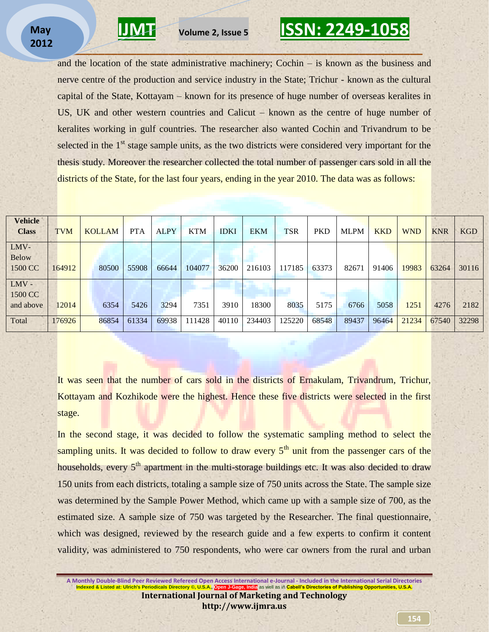

and the location of the state administrative machinery; Cochin – is known as the business and nerve centre of the production and service industry in the State; Trichur - known as the cultural capital of the State, Kottayam – known for its presence of huge number of overseas keralites in US, UK and other western countries and Calicut – known as the centre of huge number of keralites working in gulf countries. The researcher also wanted Cochin and Trivandrum to be selected in the 1<sup>st</sup> stage sample units, as the two districts were considered very important for the thesis study. Moreover the researcher collected the total number of passenger cars sold in all the districts of the State, for the last four years, ending in the year 2010. The data was as follows:

**\_\_\_\_\_\_\_\_\_\_\_\_\_\_\_\_\_\_\_\_\_\_\_\_\_\_\_\_\_\_\_\_\_\_\_\_\_\_\_\_\_\_\_\_\_\_\_\_\_\_\_\_\_\_\_\_\_\_** 

| <b>Vehicle</b><br><b>Class</b>  | <b>TVM</b> | <b>KOLLAM</b> | <b>PTA</b> | <b>ALPY</b> | <b>KTM</b> | <b>IDKI</b> | <b>EKM</b> | <b>TSR</b> | <b>PKD</b> | <b>MLPM</b> | <b>KKD</b> | <b>WND</b> | <b>KNR</b> | <b>KGD</b> |
|---------------------------------|------------|---------------|------------|-------------|------------|-------------|------------|------------|------------|-------------|------------|------------|------------|------------|
| LMV-<br><b>Below</b><br>1500 CC | 164912     | 80500         | 55908      | 66644       | 104077     | 36200       | 216103     | 117185     | 63373      | 82671       | 91406      | 19983      | 63264      | 30116      |
| LMV-<br>1500 CC<br>and above    | 12014      | 6354          | 5426       | 3294        | 7351       | 3910        | 18300      | 8035       | 5175       | 6766        | 5058       | 1251       | 4276       | 2182       |
| Total                           | 176926     | 86854         | 61334      | 69938       | 111428     | 40110       | 234403     | 125220     | 68548      | 89437       | 96464      | 21234      | 67540      | 32298      |

It was seen that the number of cars sold in the districts of Ernakulam, Trivandrum, Trichur, Kottayam and Kozhikode were the highest. Hence these five districts were selected in the first stage.

In the second stage, it was decided to follow the systematic sampling method to select the sampling units. It was decided to follow to draw every  $5<sup>th</sup>$  unit from the passenger cars of the households, every  $5<sup>th</sup>$  apartment in the multi-storage buildings etc. It was also decided to draw 150 units from each districts, totaling a sample size of 750 units across the State. The sample size was determined by the Sample Power Method, which came up with a sample size of 700, as the estimated size. A sample size of 750 was targeted by the Researcher. The final questionnaire, which was designed, reviewed by the research guide and a few experts to confirm it content validity, was administered to 750 respondents, who were car owners from the rural and urban

**A Monthly Double-Blind Peer Reviewed Refereed Open Access International e-Journal - Included in the International Serial Directories<br>Indexed & Listed at: Ulrich's Periodicals Directory © U.S.A. Open LGgage, India as well I. Open J-Gage, India as well as in Cabell's Directories of Publishing Opportunities, U.S.A. International Journal of Marketing and Technology http://www.ijmra.us**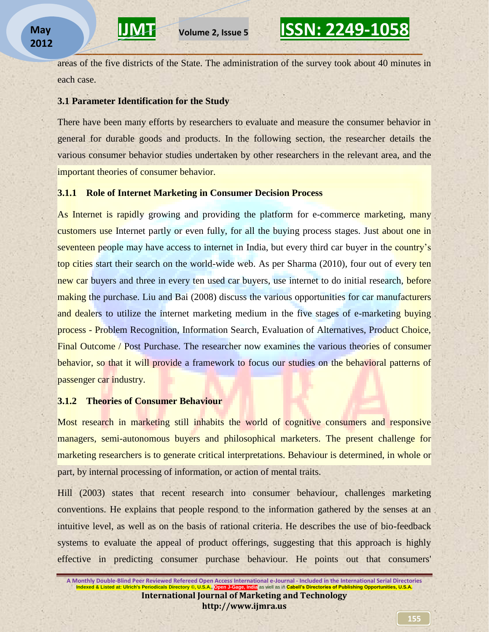areas of the five districts of the State. The administration of the survey took about 40 minutes in each case.

**\_\_\_\_\_\_\_\_\_\_\_\_\_\_\_\_\_\_\_\_\_\_\_\_\_\_\_\_\_\_\_\_\_\_\_\_\_\_\_\_\_\_\_\_\_\_\_\_\_\_\_\_\_\_\_\_\_\_** 

#### **3.1 Parameter Identification for the Study**

There have been many efforts by researchers to evaluate and measure the consumer behavior in general for durable goods and products. In the following section, the researcher details the various consumer behavior studies undertaken by other researchers in the relevant area, and the important theories of consumer behavior.

#### **3.1.1 Role of Internet Marketing in Consumer Decision Process**

As Internet is rapidly growing and providing the platform for e-commerce marketing, many customers use Internet partly or even fully, for all the buying process stages. Just about one in seventeen people may have access to internet in India, but every third car buyer in the country's top cities start their search on the world-wide web. As per Sharma (2010), four out of every ten new car buyers and three in every ten used car buyers, use internet to do initial research, before making the purchase. Liu and Bai (2008) discuss the various opportunities for car manufacturers and dealers to utilize the internet marketing medium in the five stages of e-marketing buying process - Problem Recognition, Information Search, Evaluation of Alternatives, Product Choice, Final Outcome / Post Purchase. The researcher now examines the various theories of consumer behavior, so that it will provide a framework to focus our studies on the behavioral patterns of passenger car industry.

#### **3.1.2 Theories of Consumer Behaviour**

Most research in marketing still inhabits the world of cognitive consumers and responsive managers, semi-autonomous buyers and philosophical marketers. The present challenge for marketing researchers is to generate critical interpretations. Behaviour is determined, in whole or part, by internal processing of information, or action of mental traits.

Hill (2003) states that recent research into consumer behaviour, challenges marketing conventions. He explains that people respond to the information gathered by the senses at an intuitive level, as well as on the basis of rational criteria. He describes the use of bio-feedback systems to evaluate the appeal of product offerings, suggesting that this approach is highly effective in predicting consumer purchase behaviour. He points out that consumers'

**A Monthly Double-Blind Peer Reviewed Refereed Open Access International e-Journal - Included in the International Serial Directories Indexed & Listed at: Ulrich's Periodicals Directory ©, U.S. International Journal of Marketing and Technology http://www.ijmra.us**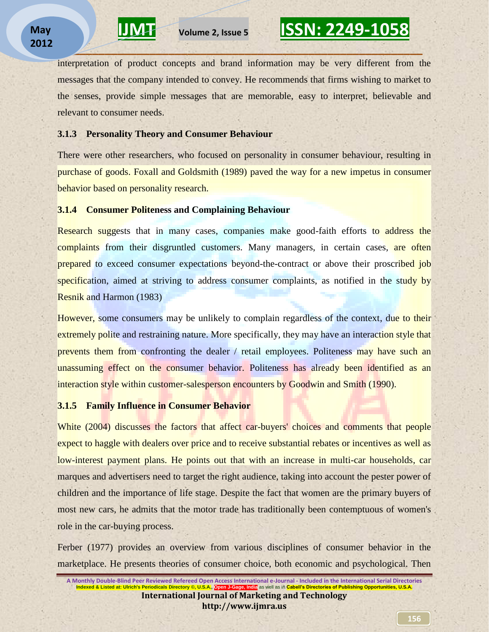interpretation of product concepts and brand information may be very different from the messages that the company intended to convey. He recommends that firms wishing to market to the senses, provide simple messages that are memorable, easy to interpret, believable and relevant to consumer needs.

**\_\_\_\_\_\_\_\_\_\_\_\_\_\_\_\_\_\_\_\_\_\_\_\_\_\_\_\_\_\_\_\_\_\_\_\_\_\_\_\_\_\_\_\_\_\_\_\_\_\_\_\_\_\_\_\_\_\_** 

#### **3.1.3 Personality Theory and Consumer Behaviour**

There were other researchers, who focused on personality in consumer behaviour, resulting in purchase of goods. Foxall and Goldsmith (1989) paved the way for a new impetus in consumer behavior based on personality research.

#### **3.1.4 Consumer Politeness and Complaining Behaviour**

Research suggests that in many cases, companies make good-faith efforts to address the complaints from their disgruntled customers. Many managers, in certain cases, are often prepared to exceed consumer expectations beyond-the-contract or above their proscribed job specification, aimed at striving to address consumer complaints, as notified in the study by Resnik and Harmon (1983)

However, some consumers may be unlikely to complain regardless of the context, due to their extremely polite and restraining nature. More specifically, they may have an interaction style that prevents them from confronting the dealer / retail employees. Politeness may have such an unassuming effect on the consumer behavior. Politeness has already been identified as an interaction style within customer-salesperson encounters by Goodwin and Smith (1990).

#### **3.1.5 Family Influence in Consumer Behavior**

White (2004) discusses the factors that affect car-buyers' choices and comments that people expect to haggle with dealers over price and to receive substantial rebates or incentives as well as low-interest payment plans. He points out that with an increase in multi-car households, car marques and advertisers need to target the right audience, taking into account the pester power of children and the importance of life stage. Despite the fact that women are the primary buyers of most new cars, he admits that the motor trade has traditionally been contemptuous of women's role in the car-buying process.

Ferber (1977) provides an overview from various disciplines of consumer behavior in the marketplace. He presents theories of consumer choice, both economic and psychological. Then

**A Monthly Double-Blind Peer Reviewed Refereed Open Access International e-Journal - Included in the International Serial Directories Indexed & Listed at: Ulrich's Periodicals Directory ©, U.S. International Journal of Marketing and Technology http://www.ijmra.us**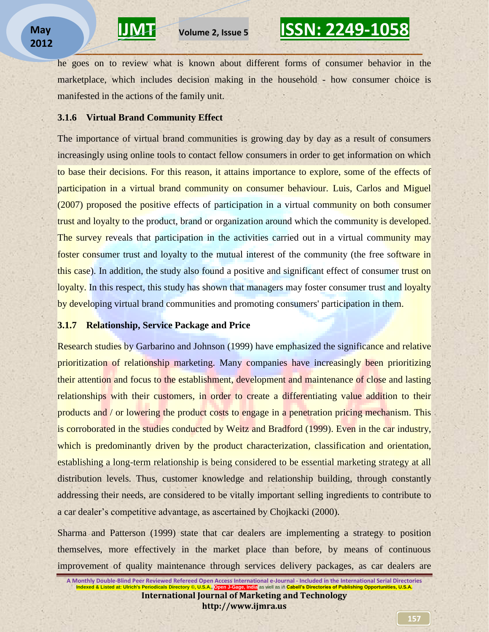he goes on to review what is known about different forms of consumer behavior in the marketplace, which includes decision making in the household - how consumer choice is manifested in the actions of the family unit.

**\_\_\_\_\_\_\_\_\_\_\_\_\_\_\_\_\_\_\_\_\_\_\_\_\_\_\_\_\_\_\_\_\_\_\_\_\_\_\_\_\_\_\_\_\_\_\_\_\_\_\_\_\_\_\_\_\_\_** 

#### **3.1.6 Virtual Brand Community Effect**

The importance of virtual brand communities is growing day by day as a result of consumers increasingly using online tools to contact fellow consumers in order to get information on which to base their decisions. For this reason, it attains importance to explore, some of the effects of participation in a virtual brand community on consumer behaviour. Luis, Carlos and Miguel (2007) proposed the positive effects of participation in a virtual community on both consumer trust and loyalty to the product, brand or organization around which the community is developed. The survey reveals that participation in the activities carried out in a virtual community may foster consumer trust and loyalty to the mutual interest of the community (the free software in this case). In addition, the study also found a positive and significant effect of consumer trust on loyalty. In this respect, this study has shown that managers may foster consumer trust and loyalty by developing virtual brand communities and promoting consumers' participation in them.

### **3.1.7 Relationship, Service Package and Price**

Research studies by Garbarino and Johnson (1999) have emphasized the significance and relative prioritization of relationship marketing. Many companies have increasingly been prioritizing their attention and focus to the establishment, development and maintenance of close and lasting relationships with their customers, in order to create a differentiating value addition to their products and / or lowering the product costs to engage in a penetration pricing mechanism. This is corroborated in the studies conducted by Weitz and Bradford (1999). Even in the car industry, which is predominantly driven by the product characterization, classification and orientation, establishing a long-term relationship is being considered to be essential marketing strategy at all distribution levels. Thus, customer knowledge and relationship building, through constantly addressing their needs, are considered to be vitally important selling ingredients to contribute to a car dealer"s competitive advantage, as ascertained by Chojkacki (2000).

Sharma and Patterson (1999) state that car dealers are implementing a strategy to position themselves, more effectively in the market place than before, by means of continuous improvement of quality maintenance through services delivery packages, as car dealers are

**A Monthly Double-Blind Peer Reviewed Refereed Open Access International e-Journal - Included in the International Serial Directories Indexed & Listed at: Ulrich's Periodicals Directory ©, U.S. International Journal of Marketing and Technology http://www.ijmra.us**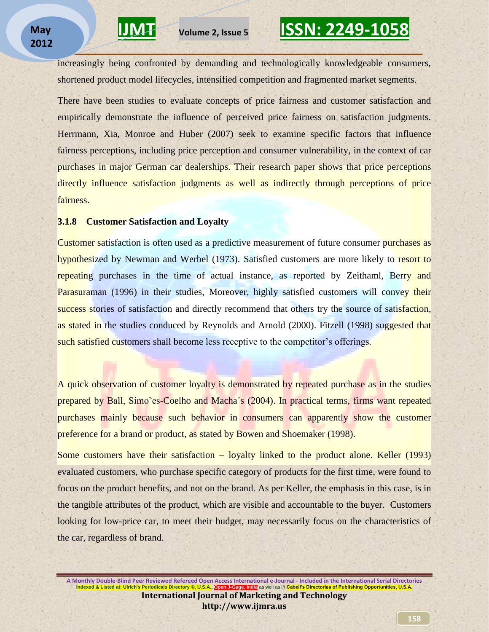increasingly being confronted by demanding and technologically knowledgeable consumers, shortened product model lifecycles, intensified competition and fragmented market segments.

**\_\_\_\_\_\_\_\_\_\_\_\_\_\_\_\_\_\_\_\_\_\_\_\_\_\_\_\_\_\_\_\_\_\_\_\_\_\_\_\_\_\_\_\_\_\_\_\_\_\_\_\_\_\_\_\_\_\_** 

There have been studies to evaluate concepts of price fairness and customer satisfaction and empirically demonstrate the influence of perceived price fairness on satisfaction judgments. Herrmann, Xia, Monroe and Huber (2007) seek to examine specific factors that influence fairness perceptions, including price perception and consumer vulnerability, in the context of car purchases in major German car dealerships. Their research paper shows that price perceptions directly influence satisfaction judgments as well as indirectly through perceptions of price fairness.

#### **3.1.8 Customer Satisfaction and Loyalty**

Customer satisfaction is often used as a predictive measurement of future consumer purchases as hypothesized by Newman and Werbel (1973). Satisfied customers are more likely to resort to repeating purchases in the time of actual instance, as reported by Zeithaml, Berry and Parasuraman (1996) in their studies, Moreover, highly satisfied customers will convey their success stories of satisfaction and directly recommend that others try the source of satisfaction, as stated in the studies conduced by Reynolds and Arnold (2000). Fitzell (1998) suggested that such satisfied customers shall become less receptive to the competitor's offerings.

A quick observation of customer loyalty is demonstrated by repeated purchase as in the studies prepared by Ball, Simo˜es-Coelho and Macha´s (2004). In practical terms, firms want repeated purchases mainly because such behavior in consumers can apparently show the customer preference for a brand or product, as stated by Bowen and Shoemaker (1998).

Some customers have their satisfaction – loyalty linked to the product alone. Keller (1993) evaluated customers, who purchase specific category of products for the first time, were found to focus on the product benefits, and not on the brand. As per Keller, the emphasis in this case, is in the tangible attributes of the product, which are visible and accountable to the buyer. Customers looking for low-price car, to meet their budget, may necessarily focus on the characteristics of the car, regardless of brand.

**A Monthly Double-Blind Peer Reviewed Refereed Open Access International e-Journal - Included in the International Serial Directories Indexed & Listed at: Ulrich's Periodicals Directory ©, U.S.A., Open J-Gage, India** as well as in **Cabell's Directories of Publishing Opportunities, U.S.A. International Journal of Marketing and Technology http://www.ijmra.us**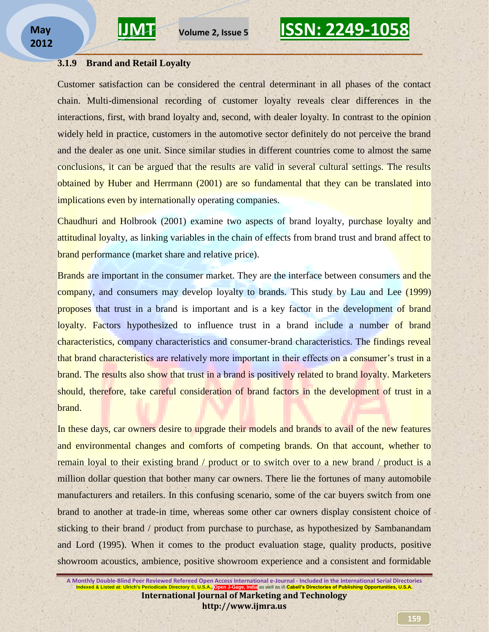

#### **3.1.9 Brand and Retail Loyalty**

Customer satisfaction can be considered the central determinant in all phases of the contact chain. Multi-dimensional recording of customer loyalty reveals clear differences in the interactions, first, with brand loyalty and, second, with dealer loyalty. In contrast to the opinion widely held in practice, customers in the automotive sector definitely do not perceive the brand and the dealer as one unit. Since similar studies in different countries come to almost the same conclusions, it can be argued that the results are valid in several cultural settings. The results obtained by Huber and Herrmann (2001) are so fundamental that they can be translated into implications even by internationally operating companies.

Chaudhuri and Holbrook (2001) examine two aspects of brand loyalty, purchase loyalty and attitudinal loyalty, as linking variables in the chain of effects from brand trust and brand affect to brand performance (market share and relative price).

Brands are important in the consumer market. They are the interface between consumers and the company, and consumers may develop loyalty to brands. This study by Lau and Lee (1999) proposes that trust in a brand is important and is a key factor in the development of brand loyalty. Factors hypothesized to influence trust in a brand include a number of brand characteristics, company characteristics and consumer-brand characteristics. The findings reveal that brand characteristics are relatively more important in their effects on a consumer's trust in a brand. The results also show that trust in a brand is positively related to brand loyalty. Marketers should, therefore, take careful consideration of brand factors in the development of trust in a brand.

In these days, car owners desire to upgrade their models and brands to avail of the new features and environmental changes and comforts of competing brands. On that account, whether to remain loyal to their existing brand / product or to switch over to a new brand / product is a million dollar question that bother many car owners. There lie the fortunes of many automobile manufacturers and retailers. In this confusing scenario, some of the car buyers switch from one brand to another at trade-in time, whereas some other car owners display consistent choice of sticking to their brand / product from purchase to purchase, as hypothesized by Sambanandam and Lord (1995). When it comes to the product evaluation stage, quality products, positive showroom acoustics, ambience, positive showroom experience and a consistent and formidable

**A Monthly Double-Blind Peer Reviewed Refereed Open Access International e-Journal - Included in the International Serial Directories Indexed & Listed at: Ulrich's Periodicals Directory ©, U.S. International Journal of Marketing and Technology http://www.ijmra.us**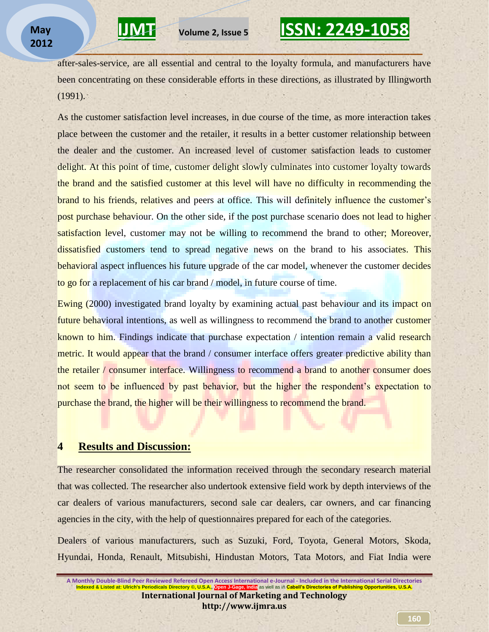after-sales-service, are all essential and central to the loyalty formula, and manufacturers have been concentrating on these considerable efforts in these directions, as illustrated by Illingworth (1991).

**\_\_\_\_\_\_\_\_\_\_\_\_\_\_\_\_\_\_\_\_\_\_\_\_\_\_\_\_\_\_\_\_\_\_\_\_\_\_\_\_\_\_\_\_\_\_\_\_\_\_\_\_\_\_\_\_\_\_** 

As the customer satisfaction level increases, in due course of the time, as more interaction takes place between the customer and the retailer, it results in a better customer relationship between the dealer and the customer. An increased level of customer satisfaction leads to customer delight. At this point of time, customer delight slowly culminates into customer loyalty towards the brand and the satisfied customer at this level will have no difficulty in recommending the brand to his friends, relatives and peers at office. This will definitely influence the customer's post purchase behaviour. On the other side, if the post purchase scenario does not lead to higher satisfaction level, customer may not be willing to recommend the brand to other; Moreover, dissatisfied customers tend to spread negative news on the brand to his associates. This behavioral aspect influences his future upgrade of the car model, whenever the customer decides to go for a replacement of his car brand / model, in future course of time.

Ewing (2000) investigated brand loyalty by examining actual past behaviour and its impact on future behavioral intentions, as well as willingness to recommend the brand to another customer known to him. Findings indicate that purchase expectation / intention remain a valid research metric. It would appear that the brand / consumer interface offers greater predictive ability than the retailer / consumer interface. Willingness to recommend a brand to another consumer does not seem to be influenced by past behavior, but the higher the respondent's expectation to purchase the brand, the higher will be their willingness to recommend the brand.

### **4 Results and Discussion:**

The researcher consolidated the information received through the secondary research material that was collected. The researcher also undertook extensive field work by depth interviews of the car dealers of various manufacturers, second sale car dealers, car owners, and car financing agencies in the city, with the help of questionnaires prepared for each of the categories.

Dealers of various manufacturers, such as Suzuki, Ford, Toyota, General Motors, Skoda, Hyundai, Honda, Renault, Mitsubishi, Hindustan Motors, Tata Motors, and Fiat India were

**A Monthly Double-Blind Peer Reviewed Refereed Open Access International e-Journal - Included in the International Serial Directories Indexed & Listed at: Ulrich's Periodicals Directory ©, U.S.A., Open J-Gage, India** as well as in **Cabell's Directories of Publishing Opportunities, U.S.A. International Journal of Marketing and Technology http://www.ijmra.us**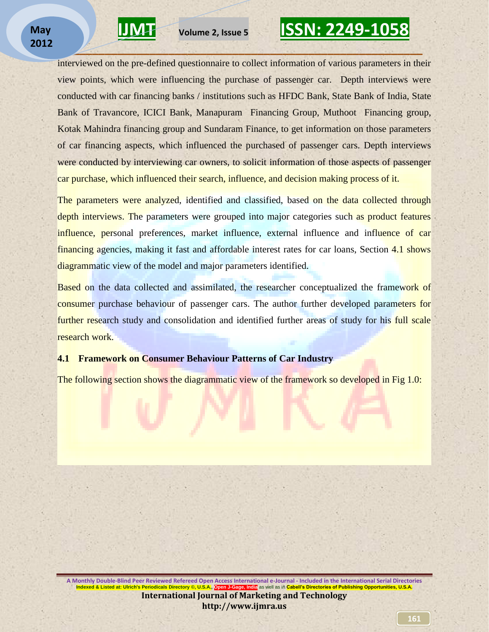

interviewed on the pre-defined questionnaire to collect information of various parameters in their view points, which were influencing the purchase of passenger car. Depth interviews were conducted with car financing banks / institutions such as HFDC Bank, State Bank of India, State Bank of Travancore, ICICI Bank, Manapuram Financing Group, Muthoot Financing group, Kotak Mahindra financing group and Sundaram Finance, to get information on those parameters of car financing aspects, which influenced the purchased of passenger cars. Depth interviews were conducted by interviewing car owners, to solicit information of those aspects of passenger car purchase, which influenced their search, influence, and decision making process of it.

**\_\_\_\_\_\_\_\_\_\_\_\_\_\_\_\_\_\_\_\_\_\_\_\_\_\_\_\_\_\_\_\_\_\_\_\_\_\_\_\_\_\_\_\_\_\_\_\_\_\_\_\_\_\_\_\_\_\_** 

The parameters were analyzed, identified and classified, based on the data collected through depth interviews. The parameters were grouped into major categories such as product features influence, personal preferences, market influence, external influence and influence of car financing agencies, making it fast and affordable interest rates for car loans, Section 4.1 shows diagrammatic view of the model and major parameters identified.

Based on the data collected and assimilated, the researcher conceptualized the framework of consumer purchase behaviour of passenger cars. The author further developed parameters for further research study and consolidation and identified further areas of study for his full scale research work.

#### **4.1 Framework on Consumer Behaviour Patterns of Car Industry**

The following section shows the diagrammatic view of the framework so developed in Fig 1.0:

**A Monthly Double-Blind Peer Reviewed Refereed Open Access International e-Journal - Included in the International Serial Directories Indexed & Listed at: Ulrich's Periodicals Directory ©, U.S.A., Open J-Gage, India** as well as in **Cabell's Directories of Publishing Opportunities, U.S.A. International Journal of Marketing and Technology http://www.ijmra.us**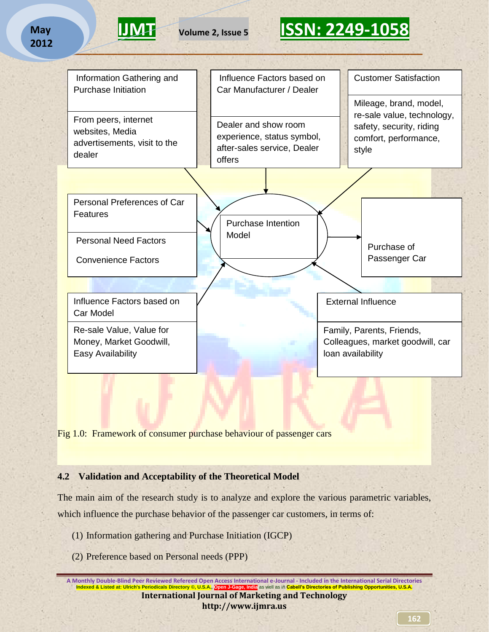### **May 2012**



# **IJMT Volume 2, Issue 5 ISSN: 2249-1058 \_\_\_\_\_\_\_\_\_\_\_\_\_\_\_\_\_\_\_\_\_\_\_\_\_\_\_\_\_\_\_\_\_\_\_\_\_\_\_\_\_\_\_\_\_\_\_\_\_\_\_\_\_\_\_\_\_\_**



Fig 1.0: Framework of consumer purchase behaviour of passenger cars

### **4.2 Validation and Acceptability of the Theoretical Model**

The main aim of the research study is to analyze and explore the various parametric variables, which influence the purchase behavior of the passenger car customers, in terms of:

- (1) Information gathering and Purchase Initiation (IGCP)
- (2) Preference based on Personal needs (PPP)

**A Monthly Double-Blind Peer Reviewed Refereed Open Access International e-Journal - Included in the International Serial Directories Indexed & Listed at: Ulrich's Periodicals Directory ©, U.S.A., Open J-Gage, India** as well as in **Cabell's Directories of Publishing Opportunities, U.S.A. International Journal of Marketing and Technology http://www.ijmra.us**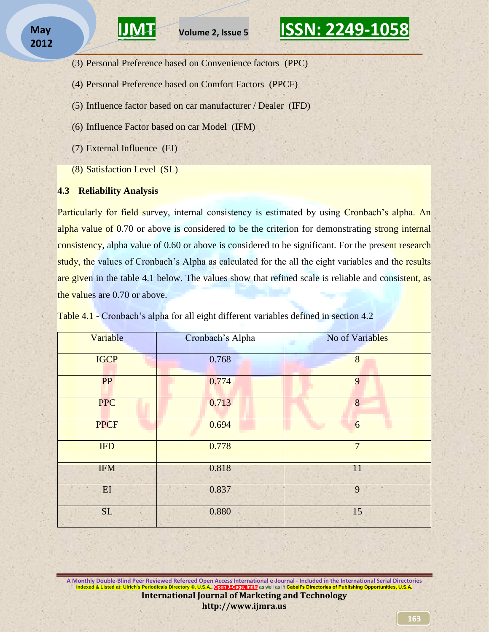**\_\_\_\_\_\_\_\_\_\_\_\_\_\_\_\_\_\_\_\_\_\_\_\_\_\_\_\_\_\_\_\_\_\_\_\_\_\_\_\_\_\_\_\_\_\_\_\_\_\_\_\_\_\_\_\_\_\_** 

- **IJMT Volume 2, Issue 5 ISSN: 2249-1058**
- (3) Personal Preference based on Convenience factors (PPC)
- (4) Personal Preference based on Comfort Factors (PPCF)
- (5) Influence factor based on car manufacturer / Dealer (IFD)
- (6) Influence Factor based on car Model (IFM)
- (7) External Influence (EI)
- (8) Satisfaction Level (SL)

### **4.3 Reliability Analysis**

Particularly for field survey, internal consistency is estimated by using Cronbach's alpha. An alpha value of 0.70 or above is considered to be the criterion for demonstrating strong internal consistency, alpha value of 0.60 or above is considered to be significant. For the present research study, the values of Cronbach's Alpha as calculated for the all the eight variables and the results are given in the table 4.1 below. The values show that refined scale is reliable and consistent, as the values are 0.70 or above.

| Variable          | Cronbach's Alpha | No of Variables |
|-------------------|------------------|-----------------|
| <b>IGCP</b>       | 0.768            | 8               |
| <b>PP</b>         | 0.774            | 9               |
| <b>PPC</b>        | 0.713            | 8               |
| <b>PPCF</b>       | 0.694            | 6               |
| <b>IFD</b>        | 0.778            | $7\overline{ }$ |
| <b>IFM</b>        | 0.818            | 11              |
| $\mathop{\rm EI}$ | 0.837            | 9               |
| <b>SL</b>         | 0.880            | 15              |

Table 4.1 - Cronbach's alpha for all eight different variables defined in section 4.2

**A Monthly Double-Blind Peer Reviewed Refereed Open Access International e-Journal - Included in the International Serial Directories Indexed & Listed at: Ulrich's Periodicals Directory ©, U.S.A., Open J-Gage, India** as well as in **Cabell's Directories of Publishing Opportunities, U.S.A. International Journal of Marketing and Technology http://www.ijmra.us**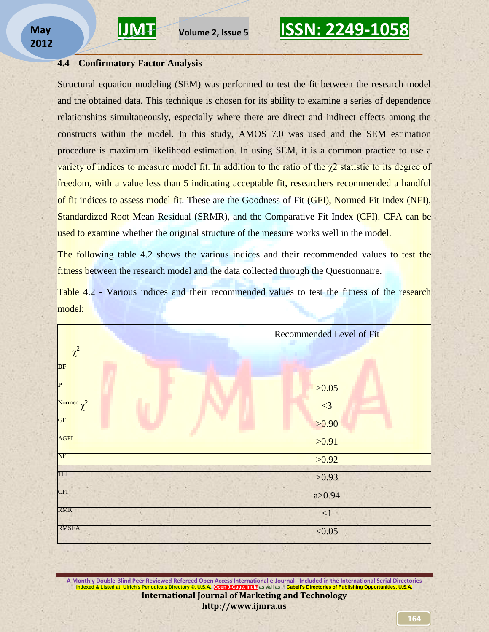

#### **4.4 Confirmatory Factor Analysis**

Structural equation modeling (SEM) was performed to test the fit between the research model and the obtained data. This technique is chosen for its ability to examine a series of dependence relationships simultaneously, especially where there are direct and indirect effects among the constructs within the model. In this study, AMOS 7.0 was used and the SEM estimation procedure is maximum likelihood estimation. In using SEM, it is a common practice to use a variety of indices to measure model fit. In addition to the ratio of the  $\chi$ 2 statistic to its degree of freedom, with a value less than 5 indicating acceptable fit, researchers recommended a handful of fit indices to assess model fit. These are the Goodness of Fit (GFI), Normed Fit Index (NFI), Standardized Root Mean Residual (SRMR), and the Comparative Fit Index (CFI). CFA can be used to examine whether the original structure of the measure works well in the model.

**\_\_\_\_\_\_\_\_\_\_\_\_\_\_\_\_\_\_\_\_\_\_\_\_\_\_\_\_\_\_\_\_\_\_\_\_\_\_\_\_\_\_\_\_\_\_\_\_\_\_\_\_\_\_\_\_\_\_** 

The following table 4.2 shows the various indices and their recommended values to test the fitness between the research model and the data collected through the Questionnaire.

Table 4.2 - Various indices and their recommended values to test the fitness of the research model:

|                 | Recommended Level of Fit |
|-----------------|--------------------------|
| $\chi^2$        |                          |
| DF              |                          |
| $\mathbf P$     | >0.05                    |
| Normed $\chi^2$ | $\leq$ 3                 |
| <b>GFI</b>      | >0.90                    |
| <b>AGFI</b>     | >0.91                    |
| NFI             | >0.92                    |
| TLI             | >0.93                    |
| <b>CFI</b>      | a > 0.94                 |
| <b>RMR</b>      | ${<}1$                   |
| <b>RMSEA</b>    | < 0.05                   |

**A Monthly Double-Blind Peer Reviewed Refereed Open Access International e-Journal - Included in the International Serial Directories Indexed & Listed at: Ulrich's Periodicals Directory ©, U.S.A., Open J-Gage, India** as well as in **Cabell's Directories of Publishing Opportunities, U.S.A. International Journal of Marketing and Technology http://www.ijmra.us**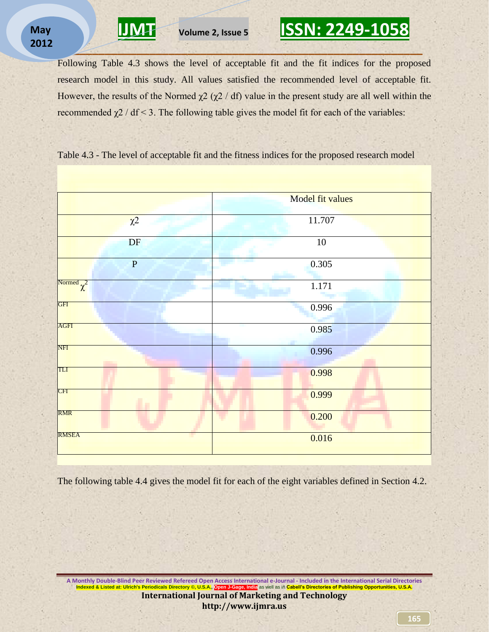Following Table 4.3 shows the level of acceptable fit and the fit indices for the proposed research model in this study. All values satisfied the recommended level of acceptable fit. However, the results of the Normed  $χ2 (χ2 / df)$  value in the present study are all well within the recommended  $χ2$  / df < 3. The following table gives the model fit for each of the variables:

**\_\_\_\_\_\_\_\_\_\_\_\_\_\_\_\_\_\_\_\_\_\_\_\_\_\_\_\_\_\_\_\_\_\_\_\_\_\_\_\_\_\_\_\_\_\_\_\_\_\_\_\_\_\_\_\_\_\_** 

Table 4.3 - The level of acceptable fit and the fitness indices for the proposed research model



The following table 4.4 gives the model fit for each of the eight variables defined in Section 4.2.

**A Monthly Double-Blind Peer Reviewed Refereed Open Access International e-Journal - Included in the International Serial Directories Indexed & Listed at: Ulrich's Periodicals Directory ©, U.S.A., Open J-Gage, India** as well as in **Cabell's Directories of Publishing Opportunities, U.S.A. International Journal of Marketing and Technology http://www.ijmra.us**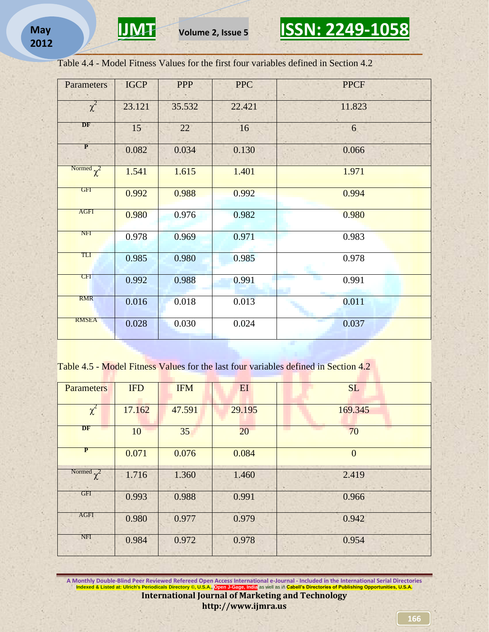

Table 4.4 - Model Fitness Values for the first four variables defined in Section 4.2

| <b>Parameters</b> | <b>IGCP</b> | <b>PPP</b> | <b>PPC</b> | <b>PPCF</b> |
|-------------------|-------------|------------|------------|-------------|
| $\chi^2$          | 23.121      | 35.532     | 22.421     | 11.823      |
| DF                | $15 -$      | 22         | 16         | 6           |
| $\mathbf{P}$      | 0.082       | 0.034      | 0.130      | 0.066       |
| Normed $\chi^2$   | 1.541       | 1.615      | 1.401      | 1.971       |
| <b>GFI</b>        | 0.992       | 0.988      | 0.992      | 0.994       |
| <b>AGFI</b>       | 0.980       | 0.976      | 0.982      | 0.980       |
| <b>NFI</b>        | 0.978       | 0.969      | 0.971      | 0.983       |
| TLI               | 0.985       | 0.980      | 0.985      | 0.978       |
| CFI               | 0.992       | 0.988      | 0.991      | 0.991       |
| <b>RMR</b>        | 0.016       | 0.018      | 0.013      | 0.011       |
| <b>RMSEA</b>      | 0.028       | 0.030      | 0.024      | 0.037       |

Table 4.5 - Model Fitness Values for the last four variables defined in Section 4.2

| <b>Parameters</b> | <b>IFD</b> | <b>IFM</b> | EI     | <b>SL</b> |
|-------------------|------------|------------|--------|-----------|
| $\chi^2$          | 17.162     | 47.591     | 29.195 | 169.345   |
| DF                | 10         | 35         | 20     | 70        |
| $\mathbf{P}$      | 0.071      | 0.076      | 0.084  | $\Omega$  |
| Normed $\gamma^2$ | 1.716      | 1.360      | 1.460  | 2.419     |
| GFI               | 0.993      | 0.988      | 0.991  | 0.966     |
| AGFI              | 0.980      | 0.977      | 0.979  | 0.942     |
| NFI               | 0.984      | 0.972      | 0.978  | 0.954     |

**A Monthly Double-Blind Peer Reviewed Refereed Open Access International e-Journal - Included in the International Serial Directories Indexed & Listed at: Ulrich's Periodicals Directory ©, U.S.A., Open J-Gage, India** as well as in **Cabell's Directories of Publishing Opportunities, U.S.A. International Journal of Marketing and Technology http://www.ijmra.us**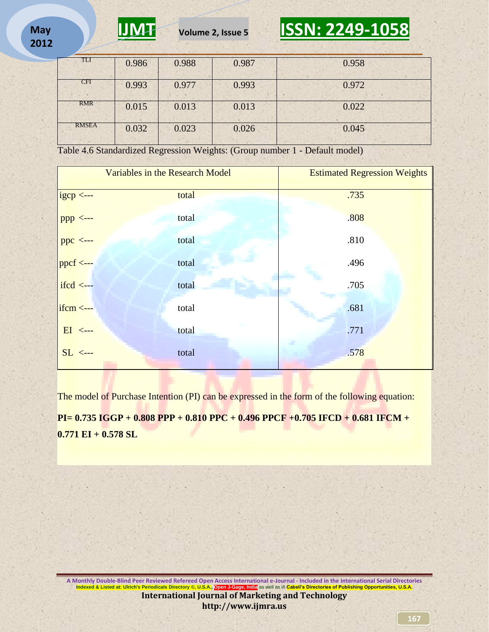

| <b>START</b> |       |       |       | . .<br><b>Carl Street</b> |
|--------------|-------|-------|-------|---------------------------|
| TLI          | 0.986 | 0.988 | 0.987 | 0.958                     |
| <b>CFI</b>   | 0.993 | 0.977 | 0.993 | 0.972                     |
| RMR          | 0.015 | 0.013 | 0.013 | 0.022                     |
| <b>RMSEA</b> | 0.032 | 0.023 | 0.026 | 0.045                     |

Table 4.6 Standardized Regression Weights: (Group number 1 - Default model)

|                      | Variables in the Research Model | <b>Estimated Regression Weights</b> |
|----------------------|---------------------------------|-------------------------------------|
| $igcp \leftarrow$    | total                           | .735                                |
| $ppp \leftarrow -$   | total                           | .808                                |
| $ppc \leftarrow -$   | total                           | .810                                |
| $ppcf \leftarrow -$  | total                           | .496                                |
| $ifcd \leftarrow$    | total                           | .705                                |
| $ifcm \leftarrow$ -- | total                           | .681                                |
| $EI$ <---            | total                           | .771                                |
| $SL \leftarrow$      | total                           | .578                                |
|                      |                                 |                                     |

The model of Purchase Intention (PI) can be expressed in the form of the following equation:

**PI= 0.735 IGGP + 0.808 PPP + 0.810 PPC + 0.496 PPCF +0.705 IFCD + 0.681 IFCM + 0.771 EI + 0.578 SL**

**A Monthly Double-Blind Peer Reviewed Refereed Open Access International e-Journal - Included in the International Serial Directories Indexed & Listed at: Ulrich's Periodicals Directory ©, U.S.A., Open J-Gage, India** as well as in **Cabell's Directories of Publishing Opportunities, U.S.A. International Journal of Marketing and Technology http://www.ijmra.us**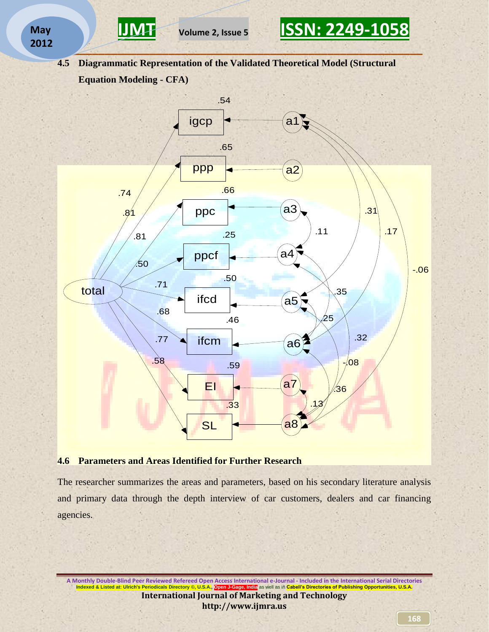



**4.5 Diagrammatic Representation of the Validated Theoretical Model (Structural Equation Modeling - CFA)** 



### **4.6 Parameters and Areas Identified for Further Research**

The researcher summarizes the areas and parameters, based on his secondary literature analysis and primary data through the depth interview of car customers, dealers and car financing agencies.

**A Monthly Double-Blind Peer Reviewed Refereed Open Access International e-Journal - Included in the International Serial Directories Indexed & Listed at: Ulrich's Periodicals Directory ©, U.S.A., Open J-Gage, India** as well as in **Cabell's Directories of Publishing Opportunities, U.S.A. International Journal of Marketing and Technology http://www.ijmra.us**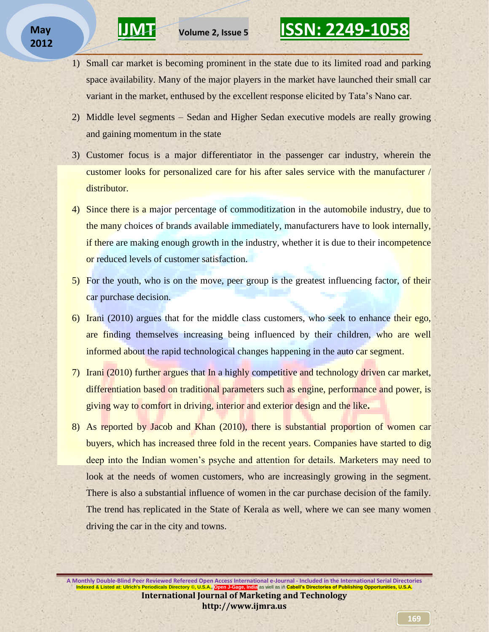1) Small car market is becoming prominent in the state due to its limited road and parking space availability. Many of the major players in the market have launched their small car variant in the market, enthused by the excellent response elicited by Tata"s Nano car.

**\_\_\_\_\_\_\_\_\_\_\_\_\_\_\_\_\_\_\_\_\_\_\_\_\_\_\_\_\_\_\_\_\_\_\_\_\_\_\_\_\_\_\_\_\_\_\_\_\_\_\_\_\_\_\_\_\_\_** 

- 2) Middle level segments Sedan and Higher Sedan executive models are really growing and gaining momentum in the state
- 3) Customer focus is a major differentiator in the passenger car industry, wherein the customer looks for personalized care for his after sales service with the manufacturer / distributor.
- 4) Since there is a major percentage of commoditization in the automobile industry, due to the many choices of brands available immediately, manufacturers have to look internally, if there are making enough growth in the industry, whether it is due to their incompetence or reduced levels of customer satisfaction.
- 5) For the youth, who is on the move, peer group is the greatest influencing factor, of their car purchase decision.
- 6) Irani (2010) argues that for the middle class customers, who seek to enhance their ego, are finding themselves increasing being influenced by their children, who are well informed about the rapid technological changes happening in the auto car segment.
- 7) Irani (2010) further argues that In a highly competitive and technology driven car market, differentiation based on traditional parameters such as engine, performance and power, is giving way to comfort in driving, interior and exterior design and the like**.**
- 8) As reported by Jacob and Khan (2010), there is substantial proportion of women car buyers, which has increased three fold in the recent years. Companies have started to dig deep into the Indian women's psyche and attention for details. Marketers may need to look at the needs of women customers, who are increasingly growing in the segment. There is also a substantial influence of women in the car purchase decision of the family. The trend has replicated in the State of Kerala as well, where we can see many women driving the car in the city and towns.

**A Monthly Double-Blind Peer Reviewed Refereed Open Access International e-Journal - Included in the International Serial Directories Indexed & Listed at: Ulrich's Periodicals Directory ©, U.S.A., Open J-Gage, India** as well as in **Cabell's Directories of Publishing Opportunities, U.S.A. International Journal of Marketing and Technology http://www.ijmra.us**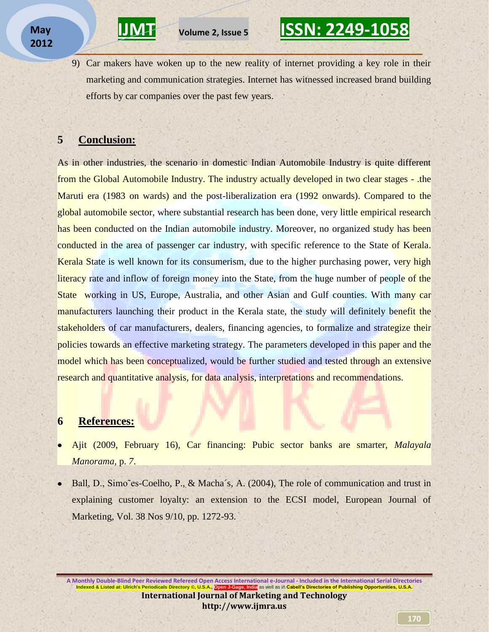9) Car makers have woken up to the new reality of internet providing a key role in their marketing and communication strategies. Internet has witnessed increased brand building efforts by car companies over the past few years.

**\_\_\_\_\_\_\_\_\_\_\_\_\_\_\_\_\_\_\_\_\_\_\_\_\_\_\_\_\_\_\_\_\_\_\_\_\_\_\_\_\_\_\_\_\_\_\_\_\_\_\_\_\_\_\_\_\_\_** 

### **5 Conclusion:**

As in other industries, the scenario in domestic Indian Automobile Industry is quite different from the Global Automobile Industry. The industry actually developed in two clear stages - .the Maruti era (1983 on wards) and the post-liberalization era (1992 onwards). Compared to the global automobile sector, where substantial research has been done, very little empirical research has been conducted on the Indian automobile industry. Moreover, no organized study has been conducted in the area of passenger car industry, with specific reference to the State of Kerala. Kerala State is well known for its consumerism, due to the higher purchasing power, very high literacy rate and inflow of foreign money into the State, from the huge number of people of the State working in US, Europe, Australia, and other Asian and Gulf counties. With many car manufacturers launching their product in the Kerala state, the study will definitely benefit the stakeholders of car manufacturers, dealers, financing agencies, to formalize and strategize their policies towards an effective marketing strategy. The parameters developed in this paper and the model which has been conceptualized, would be further studied and tested through an extensive research and quantitative analysis, for data analysis, interpretations and recommendations.

### **6 References:**

- Ajit (2009, February 16), Car financing: Pubic sector banks are smarter, *Malayala Manorama,* p. *7*.
- Ball, D., Simo~es-Coelho, P., & Macha´s, A. (2004), The role of communication and trust in explaining customer loyalty: an extension to the ECSI model, European Journal of Marketing, Vol. 38 Nos 9/10, pp. 1272-93.

**A Monthly Double-Blind Peer Reviewed Refereed Open Access International e-Journal - Included in the International Serial Directories Indexed & Listed at: Ulrich's Periodicals Directory ©, U.S.A., Open J-Gage, India** as well as in **Cabell's Directories of Publishing Opportunities, U.S.A. International Journal of Marketing and Technology http://www.ijmra.us**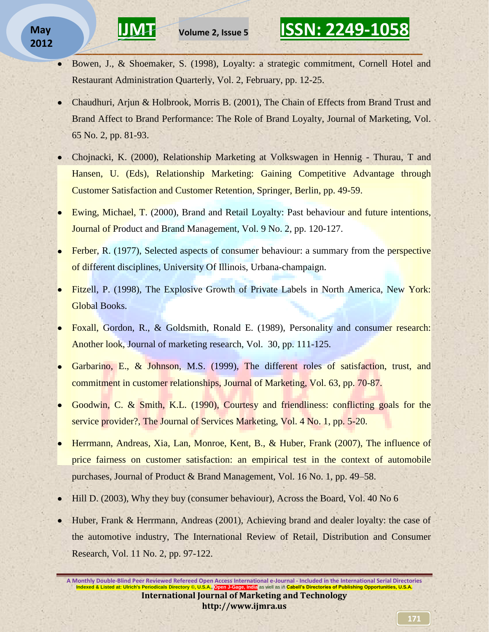### **May 2012**

Bowen, J., & Shoemaker, S. (1998), Loyalty: a strategic commitment, Cornell Hotel and  $\bullet$ Restaurant Administration Quarterly, Vol. 2, February, pp. 12-25.

**\_\_\_\_\_\_\_\_\_\_\_\_\_\_\_\_\_\_\_\_\_\_\_\_\_\_\_\_\_\_\_\_\_\_\_\_\_\_\_\_\_\_\_\_\_\_\_\_\_\_\_\_\_\_\_\_\_\_** 

- Chaudhuri, Arjun & Holbrook, Morris B. (2001), The Chain of Effects from Brand Trust and Brand Affect to Brand Performance: The Role of Brand Loyalty, Journal of Marketing, Vol. 65 No. 2, pp. 81-93.
- Chojnacki, K. (2000), Relationship Marketing at Volkswagen in Hennig Thurau, T and Hansen, U. (Eds), Relationship Marketing: Gaining Competitive Advantage through Customer Satisfaction and Customer Retention, Springer, Berlin, pp. 49-59.
- Ewing, Michael, T. (2000), Brand and Retail Loyalty: Past behaviour and future intentions, Journal of Product and Brand Management, Vol. 9 No. 2, pp. 120-127.
- Ferber, R. (1977), Selected [aspects of consumer behaviour: a summary from the perspective](http://web.ebscohost.com/ehost/viewarticle?data=dGJyMPPp44rp2%2fdV0%2bnjisfk5Ie45PFIsKa0SrWk63nn5Kx95uXxjL6nrUmzpbBIrq%2beTrimtFKyrZ5Zy5zyit%2fk8Xnh6ueH7N%2fiVauqt0i2qbNMsKukhN%2fk5VXj5KR84LPqkOac8nnls79mpNfsVcfJ0lmvqa5Kt6qxPuTl8IXf6rt%2b8%2bLqjOPu8gAA&hid=102)  [of different disciplines,](http://web.ebscohost.com/ehost/viewarticle?data=dGJyMPPp44rp2%2fdV0%2bnjisfk5Ie45PFIsKa0SrWk63nn5Kx95uXxjL6nrUmzpbBIrq%2beTrimtFKyrZ5Zy5zyit%2fk8Xnh6ueH7N%2fiVauqt0i2qbNMsKukhN%2fk5VXj5KR84LPqkOac8nnls79mpNfsVcfJ0lmvqa5Kt6qxPuTl8IXf6rt%2b8%2bLqjOPu8gAA&hid=102) University Of Illinois, Urbana-champaign.
- Fitzell, P. (1998), The Explosive Growth of Private Labels in North America, New York: Global Books.
- Foxall, Gordon, R., & Goldsmith, Ronald E. (1989), Personality and consumer research: Another look, Journal of marketing research, Vol. 30, pp. 111-125.
- Garbarino, E., & Johnson, M.S. (1999), The different roles of satisfaction, trust, and commitment in customer relationships, Journal of Marketing, Vol. 63, pp. 70-87.
- Goodwin, C. & Smith, K.L. (1990), Courtesy and friendliness: conflicting goals for the service provider?, The Journal of Services Marketing, Vol. 4 No. 1, pp. 5-20.
- Herrmann, Andreas, Xia, Lan, Monroe, Kent, B., & Huber, Frank (2007), The influence of price fairness on customer satisfaction: an empirical test in the context of automobile purchases, Journal of Product & Brand Management, Vol. 16 No. 1, pp. 49–58.
- Hill D. (2003), Why they buy (consumer behaviour), Across the Board, Vol. 40 No 6
- Huber, Frank & Herrmann, Andreas (2001), Achieving brand and dealer loyalty: the case of the automotive industry, The International Review of Retail, Distribution and Consumer Research, Vol. [11](http://www.informaworld.com/smpp/title~content=t713735234~db=all~tab=issueslist~branches=11#v11) No. [2, p](http://www.informaworld.com/smpp/title~content=g713770587~db=all)p. 97-122.

**A Monthly Double-Blind Peer Reviewed Refereed Open Access International e-Journal - Included in the International Serial Directories<br>Indexed & Listed at: Ulrich's Periodicals Directory © U.S.A. Open LGage, India as well a I. Open J-Gage, India as well as in Cabell's Directories of Publishing Opportunities, U.S.A. International Journal of Marketing and Technology http://www.ijmra.us**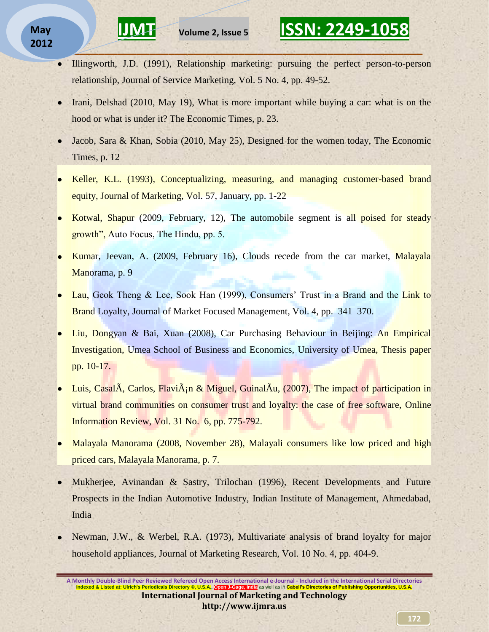### **May 2012**

Illingworth, J.D. (1991), Relationship marketing: pursuing the perfect person-to-person  $\bullet$ relationship, Journal of Service Marketing, Vol. 5 No. 4, pp. 49-52.

**\_\_\_\_\_\_\_\_\_\_\_\_\_\_\_\_\_\_\_\_\_\_\_\_\_\_\_\_\_\_\_\_\_\_\_\_\_\_\_\_\_\_\_\_\_\_\_\_\_\_\_\_\_\_\_\_\_\_** 

- Irani, Delshad (2010, May 19), What is more important while buying a car: what is on the hood or what is under it? The Economic Times, p. 23.
- Jacob, Sara & Khan, Sobia (2010, May 25), Designed for the women today, The Economic Times, p. 12
- Keller, K.L. (1993), Conceptualizing, measuring, and managing customer-based brand equity, Journal of Marketing, Vol. 57, January, pp. 1-22
- Kotwal, Shapur (2009, February, 12), The automobile segment is all poised for steady growth", Auto Focus, The Hindu, pp. 5.
- Kumar, Jeevan, A. (2009, February 16), Clouds recede from the car market, Malayala Manorama, p. 9
- Lau, Geok Theng & Lee, Sook Han (1999), Consumers' Trust in a Brand and the Link to Brand Loyalty, Journal of Market Focused Management, Vol. 4, pp. 341–370.
- Liu, Dongyan & Bai, Xuan (2008), Car Purchasing Behaviour in Beijing: An Empirical Investigation, Umea School of Business and Economics, University of Umea, Thesis paper pp. 10-17.
- Luis, Casal $\tilde{A}$ , Carlos, Flavi $\tilde{A}$ ;  $\alpha$  Miguel, Guinal $\tilde{A}$ u, (2007), The impact of participation in virtual brand communities on consumer trust and loyalty: the case of free software, [Online](javascript:__doLinkPostBack()  [Information Review,](javascript:__doLinkPostBack() Vol. 31 No. 6, pp. 775-792.
- Malayala Manorama (2008, November 28), Malayali consumers like low priced and high priced cars, Malayala Manorama, p. 7.
- Mukherjee, Avinandan & Sastry, Trilochan (1996), Recent Developments and Future Prospects in the Indian Automotive Industry, Indian Institute of Management, Ahmedabad, India
- Newman, J.W., & Werbel, R.A. (1973), Multivariate analysis of brand loyalty for major household appliances, Journal of Marketing Research, Vol. 10 No. 4, pp. 404-9.

**A Monthly Double-Blind Peer Reviewed Refereed Open Access International e-Journal - Included in the International Serial Directories Indexed & Listed at: Ulrich's Periodicals Directory ©, U.S. International Journal of Marketing and Technology http://www.ijmra.us**